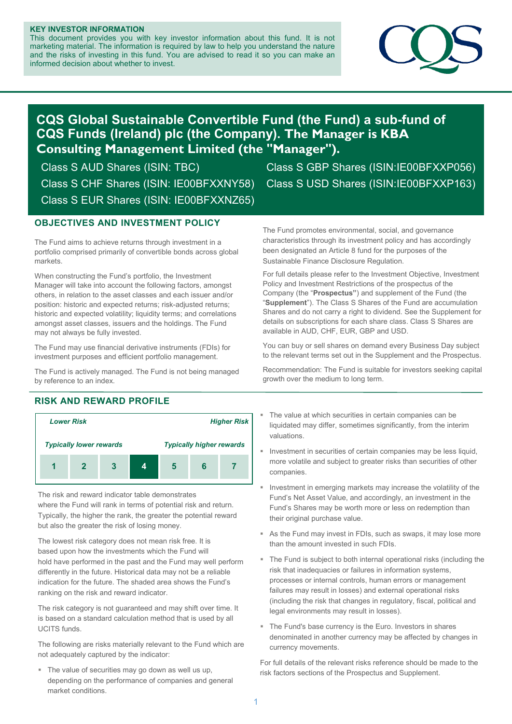#### **KEY INVESTOR INFORMATION**

This document provides you with key investor information about this fund. It is not marketing material. The information is required by law to help you understand the nature and the risks of investing in this fund. You are advised to read it so you can make an informed decision about whether to invest.



# **CQS Global Sustainable Convertible Fund (the Fund) a sub-fund of CQS Funds (Ireland) plc (the Company). The Manager is KBA Consulting Management Limited (the "Manager").**

Class S CHF Shares (ISIN: IE00BFXXNY58) Class S USD Shares (ISIN:IE00BFXXP163) Class S EUR Shares (ISIN: IE00BFXXNZ65)

Class S AUD Shares (ISIN: TBC) Class S GBP Shares (ISIN:IE00BFXXP056)

### **OBJECTIVES AND INVESTMENT POLICY**

The Fund aims to achieve returns through investment in a portfolio comprised primarily of convertible bonds across global markets.

When constructing the Fund's portfolio, the Investment Manager will take into account the following factors, amongst others, in relation to the asset classes and each issuer and/or position: historic and expected returns; risk-adjusted returns; historic and expected volatility; liquidity terms; and correlations amongst asset classes, issuers and the holdings. The Fund may not always be fully invested.

The Fund may use financial derivative instruments (FDIs) for investment purposes and efficient portfolio management.

The Fund is actively managed. The Fund is not being managed by reference to an index.

## **RISK AND REWARD PROFILE**



The risk and reward indicator table demonstrates where the Fund will rank in terms of potential risk and return. Typically, the higher the rank, the greater the potential reward but also the greater the risk of losing money.

The lowest risk category does not mean risk free. It is based upon how the investments which the Fund will hold have performed in the past and the Fund may well perform differently in the future. Historical data may not be a reliable indication for the future. The shaded area shows the Fund's ranking on the risk and reward indicator.

The risk category is not guaranteed and may shift over time. It is based on a standard calculation method that is used by all UCITS funds.

The following are risks materially relevant to the Fund which are not adequately captured by the indicator:

• The value of securities may go down as well us up, depending on the performance of companies and general market conditions.

The Fund promotes environmental, social, and governance characteristics through its investment policy and has accordingly been designated an Article 8 fund for the purposes of the Sustainable Finance Disclosure Regulation.

For full details please refer to the Investment Objective, Investment Policy and Investment Restrictions of the prospectus of the Company (the "**Prospectus"**) and supplement of the Fund (the "**Supplement**"). The Class S Shares of the Fund are accumulation Shares and do not carry a right to dividend. See the Supplement for details on subscriptions for each share class. Class S Shares are available in AUD, CHF, EUR, GBP and USD.

You can buy or sell shares on demand every Business Day subject to the relevant terms set out in the Supplement and the Prospectus.

Recommendation: The Fund is suitable for investors seeking capital growth over the medium to long term.

- The value at which securities in certain companies can be liquidated may differ, sometimes significantly, from the interim valuations.
- Investment in securities of certain companies may be less liquid, more volatile and subject to greater risks than securities of other companies.
- Investment in emerging markets may increase the volatility of the Fund's Net Asset Value, and accordingly, an investment in the Fund's Shares may be worth more or less on redemption than their original purchase value.
- As the Fund may invest in FDIs, such as swaps, it may lose more than the amount invested in such FDIs.
- The Fund is subject to both internal operational risks (including the risk that inadequacies or failures in information systems, processes or internal controls, human errors or management failures may result in losses) and external operational risks (including the risk that changes in regulatory, fiscal, political and legal environments may result in losses).
- The Fund's base currency is the Euro. Investors in shares denominated in another currency may be affected by changes in currency movements.

For full details of the relevant risks reference should be made to the risk factors sections of the Prospectus and Supplement.